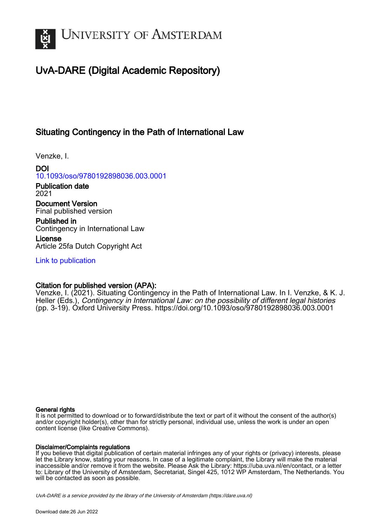

## UvA-DARE (Digital Academic Repository)

## Situating Contingency in the Path of International Law

Venzke, I.

DOI [10.1093/oso/9780192898036.003.0001](https://doi.org/10.1093/oso/9780192898036.003.0001)

Publication date 2021

Document Version Final published version

Published in Contingency in International Law

License Article 25fa Dutch Copyright Act

[Link to publication](https://dare.uva.nl/personal/pure/en/publications/situating-contingency-in-the-path-of-international-law(9cbba688-b1cf-49d4-bd2c-1d7dba56fd8e).html)

### Citation for published version (APA):

Venzke, I. (2021). Situating Contingency in the Path of International Law. In I. Venzke, & K. J. Heller (Eds.), Contingency in International Law: on the possibility of different legal histories (pp. 3-19). Oxford University Press.<https://doi.org/10.1093/oso/9780192898036.003.0001>

#### General rights

It is not permitted to download or to forward/distribute the text or part of it without the consent of the author(s) and/or copyright holder(s), other than for strictly personal, individual use, unless the work is under an open content license (like Creative Commons).

#### Disclaimer/Complaints regulations

If you believe that digital publication of certain material infringes any of your rights or (privacy) interests, please let the Library know, stating your reasons. In case of a legitimate complaint, the Library will make the material inaccessible and/or remove it from the website. Please Ask the Library: https://uba.uva.nl/en/contact, or a letter to: Library of the University of Amsterdam, Secretariat, Singel 425, 1012 WP Amsterdam, The Netherlands. You will be contacted as soon as possible.

UvA-DARE is a service provided by the library of the University of Amsterdam (http*s*://dare.uva.nl)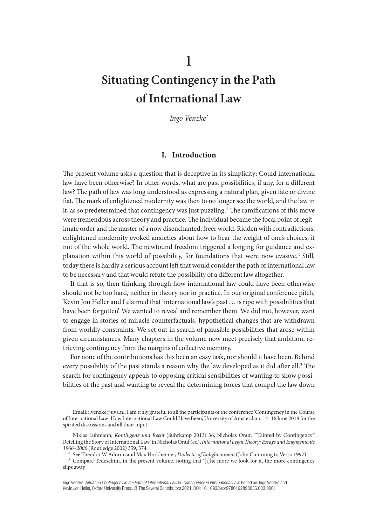# **Situating Contingency in the Path of International Law**

1

*Ingo Venzke\**

#### **I. Introduction**

The present volume asks a question that is deceptive in its simplicity: Could international law have been otherwise? In other words, what are past possibilities, if any, for a different law? The path of law was long understood as expressing a natural plan, given fate or divine fiat. The mark of enlightened modernity was then to no longer see the world, and the law in it, as so predetermined that contingency was just puzzling.<sup>1</sup> The ramifications of this move were tremendous across theory and practice. The individual became the focal point of legitimate order and the master of a now disenchanted, freer world. Ridden with contradictions, enlightened modernity evoked anxieties about how to bear the weight of one's choices, if not of the whole world. The newfound freedom triggered a longing for guidance and explanation within this world of possibility, for foundations that were now evasive.2 Still, today there is hardly a serious account left that would consider the path of international law to be necessary and that would refute the possibility of a different law altogether.

If that is so, then thinking through how international law could have been otherwise should not be too hard, neither in theory nor in practice. In our original conference pitch, Kevin Jon Heller and I claimed that 'international law's past . . . is ripe with possibilities that have been forgotten'. We wanted to reveal and remember them. We did not, however, want to engage in stories of miracle counterfactuals, hypothetical changes that are withdrawn from worldly constraints. We set out in search of plausible possibilities that arose within given circumstances. Many chapters in the volume now meet precisely that ambition, retrieving contingency from the margins of collective memory.

For none of the contributions has this been an easy task, nor should it have been. Behind every possibility of the past stands a reason why the law developed as it did after all.3 The search for contingency appeals to opposing critical sensibilities of wanting to show possibilities of the past and wanting to reveal the determining forces that compel the law down

<sup>2</sup> See Theodor W Adorno and Max Horkheimer, *Dialectic of Enlightenment* (John Cumming tr, Verso 1997).

<sup>3</sup> Compare Tedeschini, in the present volume, noting that '[t]he more we look for it, the more contingency slips away'.

<sup>\*</sup> Email: i.venzke@uva.nl. I am truly grateful to all the participants of the conference 'Contingency in the Course of International Law: How International Law Could Have Been', University of Amsterdam, 14–16 June 2018 for the spirited discussions and all their input.

<sup>1</sup> Niklas Luhmann, *Kontingenz und Recht* (Suhrkamp 2013) 36; Nicholas Onuf, '"Tainted by Contingency" Retelling the Story of International Law' in Nicholas Onuf (ed), *International Legal Theory: Essays and Engagements 1966–2006* (Routledge 2002) 359, 374.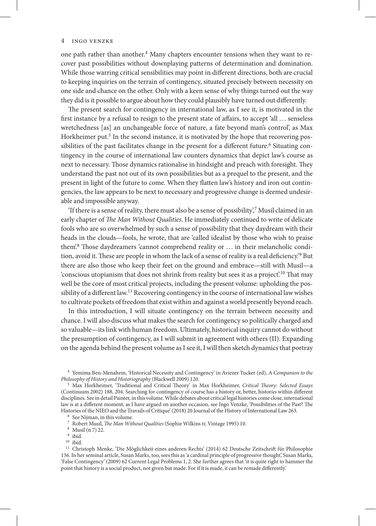one path rather than another. $4$  Many chapters encounter tensions when they want to recover past possibilities without downplaying patterns of determination and domination. While those warring critical sensibilities may point in different directions, both are crucial to keeping inquiries on the terrain of contingency, situated precisely between necessity on one side and chance on the other. Only with a keen sense of why things turned out the way they did is it possible to argue about how they could plausibly have turned out differently.

The present search for contingency in international law, as I see it, is motivated in the first instance by a refusal to resign to the present state of affairs, to accept 'all . . . senseless wretchedness [as] an unchangeable force of nature, a fate beyond man's control', as Max Horkheimer put.<sup>5</sup> In the second instance, it is motivated by the hope that recovering possibilities of the past facilitates change in the present for a different future.<sup>6</sup> Situating contingency in the course of international law counters dynamics that depict law's course as next to necessary. Those dynamics rationalise in hindsight and preach with foresight. They understand the past not out of its own possibilities but as a prequel to the present, and the present in light of the future to come. When they flatten law's history and iron out contingencies, the law appears to be next to necessary and progressive change is deemed undesirable and impossible anyway.

'If there is a sense of reality, there must also be a sense of possibility, $\frac{7}{7}$  Musil claimed in an early chapter of *The Man Without Qualities*. He immediately continued to write of delicate fools who are so overwhelmed by such a sense of possibility that they daydream with their heads in the clouds—fools, he wrote, that are 'called idealist by those who wish to praise them'.8 Those daydreamers 'cannot comprehend reality or . . . in their melancholic condition, avoid it. These are people in whom the lack of a sense of reality is a real deficiency.'9 But there are also those who keep their feet on the ground and embrace—still with Musil—a 'conscious utopianism that does not shrink from reality but sees it as a project'.10 That may well be the core of most critical projects, including the present volume: upholding the possibility of a different law.11 Recovering contingency in the course of international law wishes to cultivate pockets of freedom that exist within and against a world presently beyond reach.

In this introduction, I will situate contingency on the terrain between necessity and chance. I will also discuss what makes the search for contingency so politically charged and so valuable—its link with human freedom. Ultimately, historical inquiry cannot do without the presumption of contingency, as I will submit in agreement with others (II). Expanding on the agenda behind the present volume as I see it, I will then sketch dynamics that portray

<sup>4</sup> Yemima Ben-Menahem, 'Historical Necessity and Contingency' in Aviezer Tucker (ed), *A Companion to the Philosophy of History and Historiography* (Blackwell 2009) 120.

 $10$  ibid.

<sup>5</sup> Max Horkheimer, 'Traditional and Critical Theory' in Max Horkheimer, *Critical Theory: Selected Essays* (Continuum 2002) 188, 204. Searching for contingency of course has a history or, better, histor*ies* within different disciplines. See in detail Painter, in this volume. While debates about critical legal histories come close, international law is at a different moment, as I have argued on another occasion, see Ingo Venzke, 'Possibilities of the Past? The Histories of the NIEO and the Travails of Critique' (2018) 20 Journal of the History of International Law 263.

<sup>6</sup> See Nijman, in this volume.

<sup>7</sup> Robert Musil, *The Man Without Qualities* (Sophie Wilkins tr, Vintage 1995) 10.

<sup>8</sup> Musil (n 7) 22.

<sup>9</sup> ibid.

<sup>&</sup>lt;sup>11</sup> Christoph Menke, 'Die Möglichkeit eines anderen Rechts' (2014) 62 Deutsche Zeitschrift für Philosophie 136. In her seminal article, Susan Marks, too, sees this as 'a cardinal principle of progressive thought', Susan Marks, 'False Contingency' (2009) 62 Current Legal Problems 1, 2. She further agrees that 'it is quite right to hammer the point that history is a social product, not given but made. For if it is made, it can be remade differently.'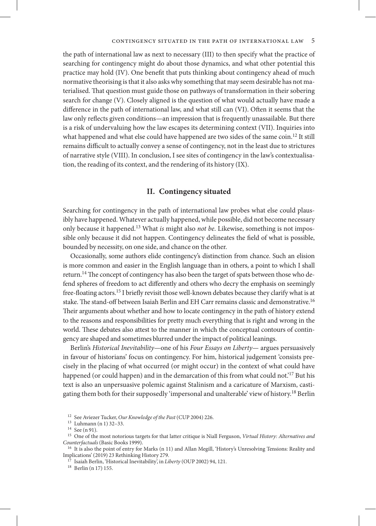the path of international law as next to necessary (III) to then specify what the practice of searching for contingency might do about those dynamics, and what other potential this practice may hold (IV). One benefit that puts thinking about contingency ahead of much normative theorising is that it also asks why something that may seem desirable has not materialised. That question must guide those on pathways of transformation in their sobering search for change (V). Closely aligned is the question of what would actually have made a difference in the path of international law, and what still can (VI). Often it seems that the law only reflects given conditions—an impression that is frequently unassailable. But there is a risk of undervaluing how the law escapes its determining context (VII). Inquiries into what happened and what else could have happened are two sides of the same coin.<sup>12</sup> It still remains difficult to actually convey a sense of contingency, not in the least due to strictures of narrative style (VIII). In conclusion, I see sites of contingency in the law's contextualisation, the reading of its context, and the rendering of its history (IX).

#### **II. Contingency situated**

Searching for contingency in the path of international law probes what else could plausibly have happened. Whatever actually happened, while possible, did not become necessary only because it happened.13 What *is* might also *not be*. Likewise, something is not impossible only because it did not happen. Contingency delineates the field of what is possible, bounded by necessity, on one side, and chance on the other.

Occasionally, some authors elide contingency's distinction from chance. Such an elision is more common and easier in the English language than in others, a point to which I shall return.<sup>14</sup> The concept of contingency has also been the target of spats between those who defend spheres of freedom to act differently and others who decry the emphasis on seemingly free-floating actors.15 I briefly revisit those well-known debates because they clarify what is at stake. The stand-off between Isaiah Berlin and EH Carr remains classic and demonstrative.16 Their arguments about whether and how to locate contingency in the path of history extend to the reasons and responsibilities for pretty much everything that is right and wrong in the world. These debates also attest to the manner in which the conceptual contours of contingency are shaped and sometimes blurred under the impact of political leanings.

Berlin's *Historical Inevitability*—one of his *Four Essays on Liberty—* argues persuasively in favour of historians' focus on contingency. For him, historical judgement 'consists precisely in the placing of what occurred (or might occur) in the context of what could have happened (or could happen) and in the demarcation of this from what could not.'<sup>17</sup> But his text is also an unpersuasive polemic against Stalinism and a caricature of Marxism, castigating them both for their supposedly 'impersonal and unalterable' view of history.18 Berlin

<sup>18</sup> Berlin (n 17) 155.

<sup>12</sup> See Aviezer Tucker, *Our Knowledge of the Past* (CUP 2004) 226.

<sup>13</sup> Luhmann (n 1) 32–33.

<sup>14</sup> See (n 91).

<sup>15</sup> One of the most notorious targets for that latter critique is Niall Ferguson, *Virtual History: Alternatives and Counterfactuals* (Basic Books 1999).

<sup>&</sup>lt;sup>16</sup> It is also the point of entry for Marks (n 11) and Allan Megill, 'History's Unresolving Tensions: Reality and Implications' (2019) 23 Rethinking History 279.

<sup>17</sup> Isaiah Berlin, 'Historical Inevitability', in *Liberty* (OUP 2002) 94, 121.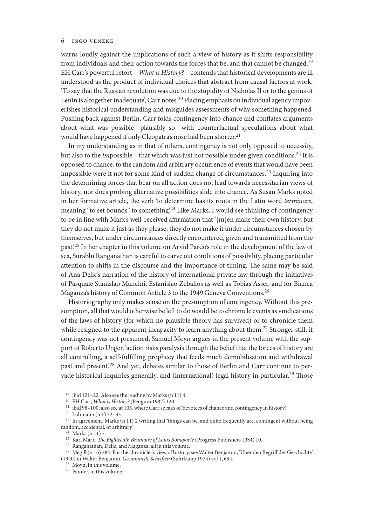warns loudly against the implications of such a view of history as it shifts responsibility from individuals and their action towards the forces that be, and that cannot be changed.19 EH Carr's powerful retort—*What is History?—*contends that historical developments are ill understood as the product of individual choices that abstract from causal factors at work. 'To say that the Russian revolution was due to the stupidity of Nicholas II or to the genius of Lenin is altogether inadequate', Carr notes.<sup>20</sup> Placing emphasis on individual agency impoverishes historical understanding and misguides assessments of why something happened. Pushing back against Berlin, Carr folds contingency into chance and conflates arguments about what was possible—plausibly so—with counterfactual speculations about what would have happened if only Cleopatra's nose had been shorter.<sup>21</sup>

In my understanding as in that of others, contingency is not only opposed to necessity, but also to the *impossible*—that which was just not possible under given conditions.<sup>22</sup> It is opposed to chance, to the random and arbitrary occurrence of events that would have been impossible were it not for some kind of sudden change of circumstances.<sup>23</sup> Inquiring into the determining forces that bear on all action does not lead towards necessitarian views of history, nor does probing alternative possibilities slide into chance. As Susan Marks noted in her formative article, the verb 'to determine has its roots in the Latin word *terminare*, meaning "to set bounds" to something.<sup>24</sup> Like Marks, I would see thinking of contingency to be in line with Marx's well-received affirmation that '[m]en make their own history, but they do not make it just as they please; they do not make it under circumstances chosen by themselves, but under circumstances directly encountered, given and transmitted from the past.'25 In her chapter in this volume on Arvid Pardo's role in the development of the law of sea, Surabhi Ranganathan is careful to carve out conditions of possibility, placing particular attention to shifts in the discourse and the importance of timing. The same may be said of Ana Delic's narration of the history of international private law through the initiatives of Pasquale Stanislao Mancini, Estanislao Zeballos as well as Tobias Asser, and for Bianca Maganza's history of Common Article 3 to the 1949 Geneva Conventions.26

Historiography only makes sense on the presumption of contingency. Without this presumption, all that would otherwise be left to do would be to chronicle events as vindications of the laws of history (for which no plausible theory has survived) or to chronicle them while resigned to the apparent incapacity to learn anything about them.<sup>27</sup> Stronger still, if contingency was not presumed, Samuel Moyn argues in the present volume with the support of Roberto Unger, 'action risks paralysis through the belief that the forces of history are all controlling, a self-fulfilling prophecy that feeds much demobilisation and withdrawal past and present.'28 And yet, debates similar to those of Berlin and Carr continue to pervade historical inquiries generally, and (international) legal history in particular.<sup>29</sup> Those

<sup>19</sup> ibid 121–22. Also see the reading by Marks (n 11) 4.

<sup>20</sup> EH Carr, *What is History?* (Penguin 1982) 120.

<sup>21</sup> ibid 98–100; also see at 105, where Carr speaks of 'devotees of chance and contingency in history'.

<sup>22</sup> Luhmann (n 1) 32–33.

<sup>23</sup> In agreement, Marks (n 11) 2 writing that 'things can be, and quite frequently are, contingent without being random, accidental, or arbitrary'.

<sup>24</sup> Marks (n 11) 7.

<sup>25</sup> Karl Marx, *The Eighteenth Brumaire of Louis Bonaparte* (Progress Publishers 1934) 10.

<sup>26</sup> Ranganathan, Delic, and Maganza, all in this volume.

<sup>27</sup> Megill (n 16) 284. For the chronicler's view of history, see Walter Benjamin, 'Über den Begriff der Geschichte' (1940) in Walter Benjamin, *Gesammelte Schriften* (Suhrkamp 1974) vol 1, 694.

<sup>28</sup> Moyn, in this volume.

<sup>29</sup> Painter, in this volume.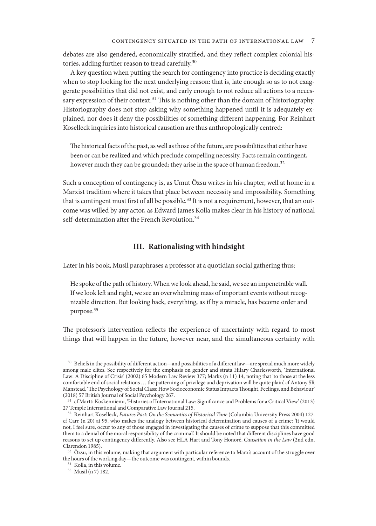debates are also gendered, economically stratified, and they reflect complex colonial histories, adding further reason to tread carefully.<sup>30</sup>

A key question when putting the search for contingency into practice is deciding exactly when to stop looking for the next underlying reason: that is, late enough so as to not exaggerate possibilities that did not exist, and early enough to not reduce all actions to a necessary expression of their context.<sup>31</sup> This is nothing other than the domain of historiography. Historiography does not stop asking why something happened until it is adequately explained, nor does it deny the possibilities of something different happening. For Reinhart Koselleck inquiries into historical causation are thus anthropologically centred:

The historical facts of the past, as well as those of the future, are possibilities that either have been or can be realized and which preclude compelling necessity. Facts remain contingent, however much they can be grounded; they arise in the space of human freedom.<sup>32</sup>

Such a conception of contingency is, as Umut Özsu writes in his chapter, well at home in a Marxist tradition where it takes that place between necessity and impossibility. Something that is contingent must first of all be possible.<sup>33</sup> It is not a requirement, however, that an outcome was willed by any actor, as Edward James Kolla makes clear in his history of national self-determination after the French Revolution.<sup>34</sup>

#### **III. Rationalising with hindsight**

Later in his book, Musil paraphrases a professor at a quotidian social gathering thus:

He spoke of the path of history. When we look ahead, he said, we see an impenetrable wall. If we look left and right, we see an overwhelming mass of important events without recognizable direction. But looking back, everything, as if by a miracle, has become order and purpose.<sup>35</sup>

The professor's intervention reflects the experience of uncertainty with regard to most things that will happen in the future, however near, and the simultaneous certainty with

<sup>35</sup> Musil (n 7) 182.

<sup>30</sup> Beliefs in the possibility of different action—and possibilities of a different law—are spread much more widely among male elites. See respectively for the emphasis on gender and strata Hilary Charlesworth, 'International Law: A Discipline of Crisis' (2002) 65 Modern Law Review 377; Marks (n 11) 14, noting that 'to those at the less comfortable end of social relations . . . the patterning of privilege and deprivation will be quite plain'. cf Antony SR Manstead, 'The Psychology of Social Class: How Socioeconomic Status Impacts Thought, Feelings, and Behaviour' (2018) 57 British Journal of Social Psychology 267.

<sup>31</sup> cf Martti Koskenniemi, 'Histories of International Law: Significance and Problems for a Critical View' (2013) 27 Temple International and Comparative Law Journal 215.

<sup>32</sup> Reinhart Koselleck, *Futures Past: On the Semantics of Historical Time* (Columbia University Press 2004) 127. cf Carr (n 20) at 95, who makes the analogy between historical determination and causes of a crime: 'It would not, I feel sure, occur to any of those engaged in investigating the causes of crime to suppose that this committed them to a denial of the moral responsibility of the criminal.' It should be noted that different disciplines have good reasons to set up contingency differently. Also see HLA Hart and Tony Honoré, *Causation in the Law* (2nd edn, Clarendon 1985).

<sup>33</sup> Özsu, in this volume, making that argument with particular reference to Marx's account of the struggle over the hours of the working day—the outcome was contingent, within bounds.

<sup>34</sup> Kolla, in this volume.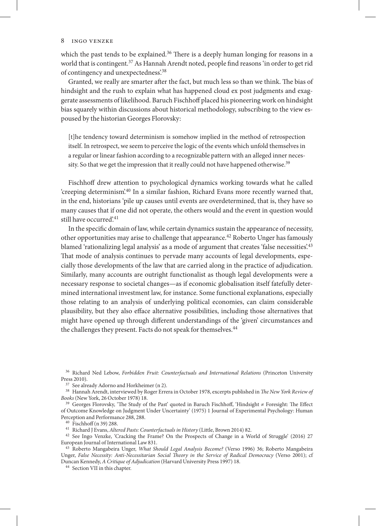#### 8 Ingo Venzke

which the past tends to be explained.<sup>36</sup> There is a deeply human longing for reasons in a world that is contingent.37 As Hannah Arendt noted, people find reasons 'in order to get rid of contingency and unexpectedness'.38

Granted, we really are smarter after the fact, but much less so than we think. The bias of hindsight and the rush to explain what has happened cloud ex post judgments and exaggerate assessments of likelihood. Baruch Fischhoff placed his pioneering work on hindsight bias squarely within discussions about historical methodology, subscribing to the view espoused by the historian Georges Florovsky:

[t]he tendency toward determinism is somehow implied in the method of retrospection itself. In retrospect, we seem to perceive the logic of the events which unfold themselves in a regular or linear fashion according to a recognizable pattern with an alleged inner necessity. So that we get the impression that it really could not have happened otherwise.<sup>39</sup>

Fischhoff drew attention to psychological dynamics working towards what he called 'creeping determinism'.40 In a similar fashion, Richard Evans more recently warned that, in the end, historians 'pile up causes until events are overdetermined, that is, they have so many causes that if one did not operate, the others would and the event in question would still have occurred'.<sup>41</sup>

In the specific domain of law, while certain dynamics sustain the appearance of necessity, other opportunities may arise to challenge that appearance.42 Roberto Unger has famously blamed 'rationalizing legal analysis' as a mode of argument that creates 'false necessities'.<sup>43</sup> That mode of analysis continues to pervade many accounts of legal developments, especially those developments of the law that are carried along in the practice of adjudication. Similarly, many accounts are outright functionalist as though legal developments were a necessary response to societal changes—as if economic globalisation itself fatefully determined international investment law, for instance. Some functional explanations, especially those relating to an analysis of underlying political economies, can claim considerable plausibility, but they also efface alternative possibilities, including those alternatives that might have opened up through different understandings of the 'given' circumstances and the challenges they present. Facts do not speak for themselves.<sup>44</sup>

<sup>36</sup> Richard Ned Lebow, *Forbidden Fruit: Counterfactuals and International Relations* (Princeton University Press 2010).

<sup>37</sup> See already Adorno and Horkheimer (n 2).

<sup>38</sup> Hannah Arendt, interviewed by Roger Errera in October 1978, excerpts published in *The New York Review of Books* (New York, 26 October 1978) 18.

<sup>39</sup> Georges Florovsky, 'The Study of the Past' quoted in Baruch Fischhoff, 'Hindsight ≠ Foresight: The Effect of Outcome Knowledge on Judgment Under Uncertainty' (1975) 1 Journal of Experimental Psychology: Human Perception and Performance 288, 288.

<sup>40</sup> Fischhoff (n 39) 288.

<sup>41</sup> Richard J Evans, *Altered Pasts: Counterfactuals in History* (Little, Brown 2014) 82.

<sup>42</sup> See Ingo Venzke, 'Cracking the Frame? On the Prospects of Change in a World of Struggle' (2016) 27 European Journal of International Law 831.

<sup>43</sup> Roberto Mangabeira Unger, *What Should Legal Analysis Become?* (Verso 1996) 36; Roberto Mangabeira Unger, *False Necessity: Anti-Necessitarian Social Theory in the Service of Radical Democracy* (Verso 2001); cf Duncan Kennedy, *A Critique of Adjudication* (Harvard University Press 1997) 18.

<sup>44</sup> Section VII in this chapter.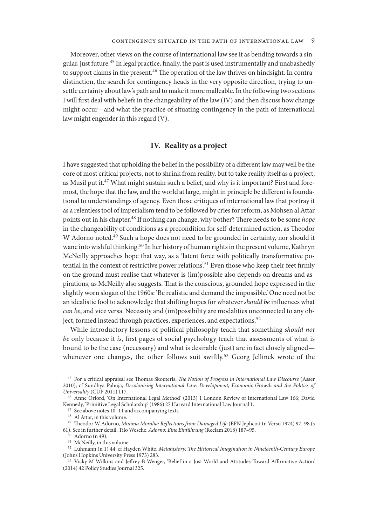Moreover, other views on the course of international law see it as bending towards a singular, just future.45 In legal practice, finally, the past is used instrumentally and unabashedly to support claims in the present.46 The operation of the law thrives on hindsight. In contradistinction, the search for contingency heads in the very opposite direction, trying to unsettle certainty about law's path and to make it more malleable. In the following two sections I will first deal with beliefs in the changeability of the law (IV) and then discuss how change might occur—and what the practice of situating contingency in the path of international law might engender in this regard (V).

#### **IV. Reality as a project**

I have suggested that upholding the belief in the possibility of a different law may well be the core of most critical projects, not to shrink from reality, but to take reality itself as a project, as Musil put it.<sup>47</sup> What might sustain such a belief, and why is it important? First and foremost, the hope that the law, and the world at large, might in principle be different is foundational to understandings of agency. Even those critiques of international law that portray it as a relentless tool of imperialism tend to be followed by cries for reform, as Mohsen al Attar points out in his chapter.48 If nothing can change, why bother? There needs to be some *hope* in the changeability of conditions as a precondition for self-determined action, as Theodor W Adorno noted.<sup>49</sup> Such a hope does not need to be grounded in certainty, nor should it wane into wishful thinking.50 In her history of human rights in the present volume, Kathryn McNeilly approaches hope that way, as a 'latent force with politically transformative potential in the context of restrictive power relations'.51 Even those who keep their feet firmly on the ground must realise that whatever is (im)possible also depends on dreams and aspirations, as McNeilly also suggests. That is the conscious, grounded hope expressed in the slightly worn slogan of the 1960s: 'Be realistic and demand the impossible.' One need not be an idealistic fool to acknowledge that shifting hopes for whatever *should be* influences what *can be*, and vice versa. Necessity and (im)possibility are modalities unconnected to any object, formed instead through practices, experiences, and expectations.<sup>52</sup>

While introductory lessons of political philosophy teach that something *should not be* only because it *is*, first pages of social psychology teach that assessments of what is bound to be the case (necessary) and what is desirable (just) are in fact closely aligned whenever one changes, the other follows suit swiftly.<sup>53</sup> Georg Jellinek wrote of the

<sup>45</sup> For a critical appraisal see Thomas Skouteris, *The Notion of Progress in International Law Discourse* (Asser 2010); cf Sundhya Pahuja, *Decolonising International Law: Development, Economic Growth and the Politics of Universality* (CUP 2011) 117.

<sup>46</sup> Anne Orford, 'On International Legal Method' (2013) 1 London Review of International Law 166; David Kennedy, 'Primitive Legal Scholarship' (1986) 27 Harvard International Law Journal 1.

 $7$  See above notes  $10-11$  and accompanying texts.

<sup>48</sup> Al Attar, in this volume.

<sup>49</sup> Theodor W Adorno, *Minima Moralia: Reflections from Damaged Life* (EFN Jephcott tr, Verso 1974) 97–98 (s 61). See in further detail, Tilo Wesche, *Adorno: Eine Einführung* (Reclam 2018) 187–95.

<sup>50</sup> Adorno (n 49).

 $^{\rm 51}~$  McNeilly, in this volume.

<sup>52</sup> Luhmann (n 1) 44; cf Hayden White, *Metahistory: The Historical Imagination in Nineteenth-Century Europe* (Johns Hopkins University Press 1973) 283.

<sup>53</sup> Vicky M Wilkins and Jeffrey B Wenger, 'Belief in a Just World and Attitudes Toward Affirmative Action' (2014) 42 Policy Studies Journal 325.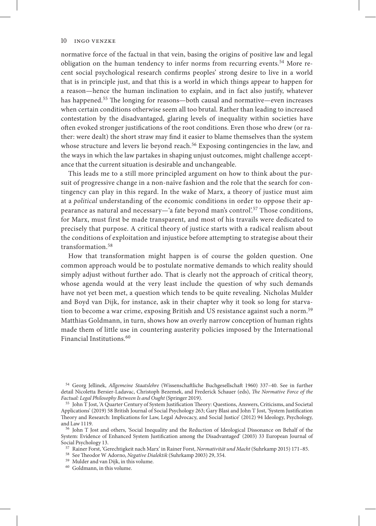normative force of the factual in that vein, basing the origins of positive law and legal obligation on the human tendency to infer norms from recurring events.<sup>54</sup> More recent social psychological research confirms peoples' strong desire to live in a world that is in principle just, and that this is a world in which things appear to happen for a reason—hence the human inclination to explain, and in fact also justify, whatever has happened.55 The longing for reasons—both causal and normative—even increases when certain conditions otherwise seem all too brutal. Rather than leading to increased contestation by the disadvantaged, glaring levels of inequality within societies have often evoked stronger justifications of the root conditions. Even those who drew (or rather: were dealt) the short straw may find it easier to blame themselves than the system whose structure and levers lie beyond reach.<sup>56</sup> Exposing contingencies in the law, and the ways in which the law partakes in shaping unjust outcomes, might challenge acceptance that the current situation is desirable and unchangeable.

This leads me to a still more principled argument on how to think about the pursuit of progressive change in a non-naïve fashion and the role that the search for contingency can play in this regard. In the wake of Marx, a theory of justice must aim at a *political* understanding of the economic conditions in order to oppose their appearance as natural and necessary—'a fate beyond man's control'.57 Those conditions, for Marx, must first be made transparent, and most of his travails were dedicated to precisely that purpose. A critical theory of justice starts with a radical realism about the conditions of exploitation and injustice before attempting to strategise about their transformation.<sup>58</sup>

How that transformation might happen is of course the golden question. One common approach would be to postulate normative demands to which reality should simply adjust without further ado. That is clearly not the approach of critical theory, whose agenda would at the very least include the question of why such demands have not yet been met, a question which tends to be quite revealing. Nicholas Mulder and Boyd van Dijk, for instance, ask in their chapter why it took so long for starvation to become a war crime, exposing British and US resistance against such a norm.<sup>59</sup> Matthias Goldmann, in turn, shows how an overly narrow conception of human rights made them of little use in countering austerity policies imposed by the International Financial Institutions.<sup>60</sup>

<sup>54</sup> Georg Jellinek, *Allgemeine Staatslehre* (Wissenschaftliche Buchgesellschaft 1960) 337–40. See in further detail Nicoletta Bersier-Ladavac, Christoph Bezemek, and Frederick Schauer (eds), *The Normative Force of the Factual: Legal Philosophy Between Is and Ought* (Springer 2019).

<sup>55</sup> John T Jost, 'A Quarter Century of System Justification Theory: Questions, Answers, Criticisms, and Societal Applications' (2019) 58 British Journal of Social Psychology 263; Gary Blasi and John T Jost, 'System Justification Theory and Research: Implications for Law, Legal Advocacy, and Social Justice' (2012) 94 Ideology, Psychology, and Law 1119.

<sup>56</sup> John T Jost and others, 'Social Inequality and the Reduction of Ideological Dissonance on Behalf of the System: Evidence of Enhanced System Justification among the Disadvantaged' (2003) 33 European Journal of Social Psychology 13.

<sup>57</sup> Rainer Forst, 'Gerechtigkeit nach Marx' in Rainer Forst, *Normativität und Macht* (Suhrkamp 2015) 171–85.

<sup>58</sup> See Theodor W Adorno, *Negative Dialektik* (Suhrkamp 2003) 29, 354.

- <sup>59</sup> Mulder and van Dijk, in this volume.
- <sup>60</sup> Goldmann, in this volume.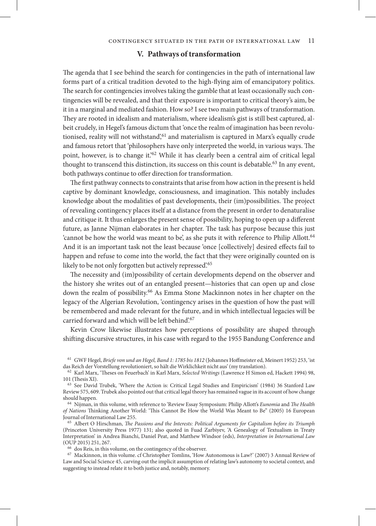#### **V. Pathways of transformation**

The agenda that I see behind the search for contingencies in the path of international law forms part of a critical tradition devoted to the high-flying aim of emancipatory politics. The search for contingencies involves taking the gamble that at least occasionally such contingencies will be revealed, and that their exposure is important to critical theory's aim, be it in a marginal and mediated fashion. How so? I see two main pathways of transformation. They are rooted in idealism and materialism, where idealism's gist is still best captured, albeit crudely, in Hegel's famous dictum that 'once the realm of imagination has been revolutionised, reality will not withstand', 61 and materialism is captured in Marx's equally crude and famous retort that 'philosophers have only interpreted the world, in various ways. The point, however, is to change it.<sup>'62</sup> While it has clearly been a central aim of critical legal thought to transcend this distinction, its success on this count is debatable.<sup>63</sup> In any event, both pathways continue to offer direction for transformation.

The first pathway connects to constraints that arise from how action in the present is held captive by dominant knowledge, consciousness, and imagination. This notably includes knowledge about the modalities of past developments, their (im)possibilities. The project of revealing contingency places itself at a distance from the present in order to denaturalise and critique it. It thus enlarges the present sense of possibility, hoping to open up a different future, as Janne Nijman elaborates in her chapter. The task has purpose because this just 'cannot be how the world was meant to be', as she puts it with reference to Philip Allott.64 And it is an important task not the least because 'once [collectively] desired effects fail to happen and refuse to come into the world, the fact that they were originally counted on is likely to be not only forgotten but actively repressed.<sup>65</sup>

The necessity and (im)possibility of certain developments depend on the observer and the history she writes out of an entangled present—histories that can open up and close down the realm of possibility.66 As Emma Stone Mackinnon notes in her chapter on the legacy of the Algerian Revolution, 'contingency arises in the question of how the past will be remembered and made relevant for the future, and in which intellectual legacies will be carried forward and which will be left behind'.67

Kevin Crow likewise illustrates how perceptions of possibility are shaped through shifting discursive structures, in his case with regard to the 1955 Bandung Conference and

<sup>61</sup> GWF Hegel, *Briefe von und an Hegel, Band 1: 1785 bis 1812* (Johannes Hoffmeister ed, Meinert 1952) 253, 'ist das Reich der Vorstellung revolutioniert, so hält die Wirklichkeit nicht aus' (my translation).

<sup>62</sup> Karl Marx, 'Theses on Feuerbach' in Karl Marx, *Selected Writings* (Lawrence H Simon ed, Hackett 1994) 98, 101 (Thesis XI).

<sup>63</sup> See David Trubek, 'Where the Action is: Critical Legal Studies and Empiricism' (1984) 36 Stanford Law Review 575, 609. Trubek also pointed out that critical legal theory has remained vague in its account of how change should happen.

<sup>64</sup> Nijman, in this volume, with reference to 'Review Essay Symposium: Philip Allott's *Eunomia* and *The Health of Nations* Thinking Another World: 'This Cannot Be How the World Was Meant to Be'' (2005) 16 European Journal of International Law 255.

<sup>65</sup> Albert O Hirschman, *The Passions and the Interests: Political Arguments for Capitalism before its Triumph* (Princeton University Press 1977) 131; also quoted in Fuad Zarbiyev, 'A Genealogy of Textualism in Treaty Interpretation' in Andrea Bianchi, Daniel Peat, and Matthew Windsor (eds), *Interpretation in International Law* (OUP 2015) 251, 267.

<sup>66</sup> dos Reis, in this volume, on the contingency of the observer.

<sup>67</sup> Mackinnon, in this volume. cf Christopher Tomlins, 'How Autonomous is Law?' (2007) 3 Annual Review of Law and Social Science 45, carving out the implicit assumption of relating law's autonomy to societal context, and suggesting to instead relate it to both justice and, notably, memory.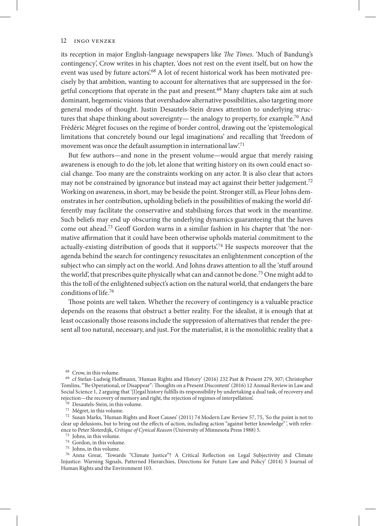its reception in major English-language newspapers like *The Times*. 'Much of Bandung's contingency', Crow writes in his chapter, 'does not rest on the event itself, but on how the event was used by future actors'.<sup>68</sup> A lot of recent historical work has been motivated precisely by that ambition, wanting to account for alternatives that are suppressed in the forgetful conceptions that operate in the past and present.69 Many chapters take aim at such dominant, hegemonic visions that overshadow alternative possibilities, also targeting more general modes of thought. Justin Desautels-Stein draws attention to underlying structures that shape thinking about sovereignty— the analogy to property, for example.<sup>70</sup> And Frédéric Mégret focuses on the regime of border control, drawing out the 'epistemological limitations that concretely bound our legal imaginations' and recalling that 'freedom of movement was once the default assumption in international law.<sup>71</sup>

But few authors—and none in the present volume—would argue that merely raising awareness is enough to do the job, let alone that writing history on its own could enact social change. Too many are the constraints working on any actor. It is also clear that actors may not be constrained by ignorance but instead may act against their better judgement.<sup>72</sup> Working on awareness, in short, may be beside the point. Stronger still, as Fleur Johns demonstrates in her contribution, upholding beliefs in the possibilities of making the world differently may facilitate the conservative and stabilising forces that work in the meantime. Such beliefs may end up obscuring the underlying dynamics guaranteeing that the haves come out ahead.73 Geoff Gordon warns in a similar fashion in his chapter that 'the normative affirmation that it could have been otherwise upholds material commitment to the actually-existing distribution of goods that it supports.<sup>74</sup> He suspects moreover that the agenda behind the search for contingency resuscitates an enlightenment conception of the subject who can simply act on the world. And Johns draws attention to all the 'stuff around the world', that prescribes quite physically what can and cannot be done.75 One might add to this the toll of the enlightened subject's action on the natural world, that endangers the bare conditions of life.76

Those points are well taken. Whether the recovery of contingency is a valuable practice depends on the reasons that obstruct a better reality. For the idealist, it is enough that at least occasionally those reasons include the suppression of alternatives that render the present all too natural, necessary, and just. For the materialist, it is the monolithic reality that a

- <sup>74</sup> Gordon, in this volume.
- <sup>75</sup> Johns, in this volume.

<sup>68</sup> Crow, in this volume.

<sup>69</sup> cf Stefan-Ludwig Hoffmann, 'Human Rights and History' (2016) 232 Past & Present 279, 307; Christopher Tomlins, '"Be Operational, or Disappear": Thoughts on a Present Discontent' (2016) 12 Annual Review in Law and Social Science 1, 2 arguing that '[l]egal history fulfills its responsibility by undertaking a dual task, of recovery and rejection—the recovery of memory and right, the rejection of regimes of interpellation'.

<sup>&</sup>lt;sup>70</sup> Desautels-Stein, in this volume.

 $^{71}\,$  Mégret, in this volume.

<sup>72</sup> Susan Marks, 'Human Rights and Root Causes' (2011) 74 Modern Law Review 57, 75, 'So the point is not to clear up delusions, but to bring out the effects of action, including action "against better knowledge" ', with reference to Peter Sloterdijk, *Critique of Cynical Reason* (University of Minnesota Press 1988) 5.

<sup>73</sup> Johns, in this volume.

<sup>76</sup> Anna Grear, 'Towards "Climate Justice"? A Critical Reflection on Legal Subjectivity and Climate Injustice: Warning Signals, Patterned Hierarchies, Directions for Future Law and Policy' (2014) 5 Journal of Human Rights and the Environment 103.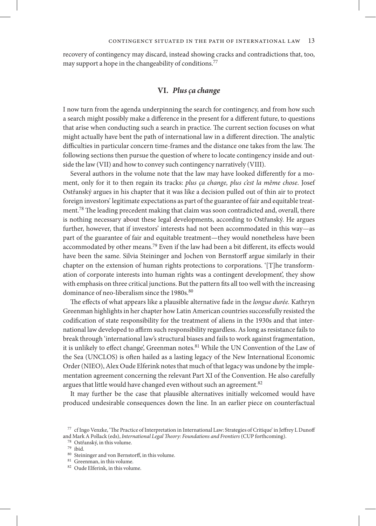recovery of contingency may discard, instead showing cracks and contradictions that, too, may support a hope in the changeability of conditions.<sup>77</sup>

#### **VI.** *Plus ça change*

I now turn from the agenda underpinning the search for contingency, and from how such a search might possibly make a difference in the present for a different future, to questions that arise when conducting such a search in practice. The current section focuses on what might actually have bent the path of international law in a different direction. The analytic difficulties in particular concern time-frames and the distance one takes from the law. The following sections then pursue the question of where to locate contingency inside and outside the law (VII) and how to convey such contingency narratively (VIII).

Several authors in the volume note that the law may have looked differently for a moment, only for it to then regain its tracks: *plus ça change, plus c'est la même chose*. Josef Ostřanský argues in his chapter that it was like a decision pulled out of thin air to protect foreign investors' legitimate expectations as part of the guarantee of fair and equitable treatment.<sup>78</sup> The leading precedent making that claim was soon contradicted and, overall, there is nothing necessary about these legal developments, according to Ostřanský. He argues further, however, that if investors' interests had not been accommodated in this way—as part of the guarantee of fair and equitable treatment—they would nonetheless have been accommodated by other means.79 Even if the law had been a bit different, its effects would have been the same. Silvia Steininger and Jochen von Bernstorff argue similarly in their chapter on the extension of human rights protections to corporations. '[T]he transformation of corporate interests into human rights was a contingent development', they show with emphasis on three critical junctions. But the pattern fits all too well with the increasing dominance of neo-liberalism since the 1980s.<sup>80</sup>

The effects of what appears like a plausible alternative fade in the *longue durée.* Kathryn Greenman highlights in her chapter how Latin American countries successfully resisted the codification of state responsibility for the treatment of aliens in the 1930s and that international law developed to affirm such responsibility regardless. As long as resistance fails to break through 'international law's structural biases and fails to work against fragmentation, it is unlikely to effect change', Greenman notes.81 While the UN Convention of the Law of the Sea (UNCLOS) is often hailed as a lasting legacy of the New International Economic Order (NIEO), Alex Oude Elferink notes that much of that legacy was undone by the implementation agreement concerning the relevant Part XI of the Convention. He also carefully argues that little would have changed even without such an agreement.<sup>82</sup>

It may further be the case that plausible alternatives initially welcomed would have produced undesirable consequences down the line. In an earlier piece on counterfactual

<sup>77</sup> cf Ingo Venzke, 'The Practice of Interpretation in International Law: Strategies of Critique' in Jeffrey L Dunoff and Mark A Pollack (eds), *International Legal Theory: Foundations and Frontiers* (CUP forthcoming).

<sup>78</sup> Ostřanský, in this volume.

<sup>79</sup> ibid.

<sup>80</sup> Steininger and von Bernstorff, in this volume.

<sup>81</sup> Greenman, in this volume.

<sup>82</sup> Oude Elferink, in this volume.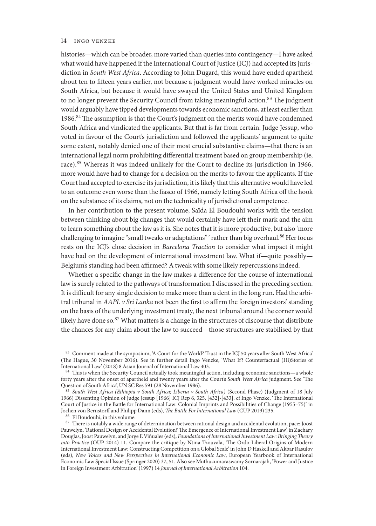histories—which can be broader, more varied than queries into contingency—I have asked what would have happened if the International Court of Justice (ICJ) had accepted its jurisdiction in *South West Africa*. According to John Dugard, this would have ended apartheid about ten to fifteen years earlier, not because a judgment would have worked miracles on South Africa, but because it would have swayed the United States and United Kingdom to no longer prevent the Security Council from taking meaningful action.<sup>83</sup> The judgment would arguably have tipped developments towards economic sanctions, at least earlier than 1986.84 The assumption is that the Court's judgment on the merits would have condemned South Africa and vindicated the applicants. But that is far from certain. Judge Jessup, who voted in favour of the Court's jurisdiction and followed the applicants' argument to quite some extent, notably denied one of their most crucial substantive claims—that there is an international legal norm prohibiting differential treatment based on group membership (ie, race).85 Whereas it was indeed unlikely for the Court to decline its jurisdiction in 1966, more would have had to change for a decision on the merits to favour the applicants. If the Court had accepted to exercise its jurisdiction, it is likely that this alternative would have led to an outcome even worse than the fiasco of 1966, namely letting South Africa off the hook on the substance of its claims, not on the technicality of jurisdictional competence.

In her contribution to the present volume, Saïda El Boudouhi works with the tension between thinking about big changes that would certainly have left their mark and the aim to learn something about the law as it is. She notes that it is more productive, but also 'more challenging to imagine "small tweaks or adaptations" ' rather than big overhaul.<sup>86</sup> Her focus rests on the ICJ's close decision in *Barcelona Traction* to consider what impact it might have had on the development of international investment law. What if—quite possibly— Belgium's standing had been affirmed? A tweak with some likely repercussions indeed.

Whether a specific change in the law makes a difference for the course of international law is surely related to the pathways of transformation I discussed in the preceding section. It is difficult for any single decision to make more than a dent in the long run. Had the arbitral tribunal in *AAPL v Sri Lanka* not been the first to affirm the foreign investors' standing on the basis of the underlying investment treaty, the next tribunal around the corner would likely have done so.<sup>87</sup> What matters is a change in the structures of discourse that distribute the chances for any claim about the law to succeed—those structures are stabilised by that

83 Comment made at the symposium, 'A Court for the World? Trust in the ICJ 50 years after South West Africa' (The Hague, 30 November 2016). See in further detail Ingo Venzke, 'What If? Counterfactual (Hi)Stories of International Law' (2018) 8 Asian Journal of International Law 403.

84 This is when the Security Council actually took meaningful action, including economic sanctions—a whole forty years after the onset of apartheid and twenty years after the Court's *South West Africa* judgment. See 'The Question of South Africa', UN SC Res 591 (28 November 1986).

<sup>85</sup> *South West Africa (Ethiopia v South Africa; Liberia v South Africa)* (Second Phase) (Judgment of 18 July 1966) Dissenting Opinion of Judge Jessup [1966] ICJ Rep 6, 325, [432]-[433]. cf Ingo Venzke, 'The International Court of Justice in the Battle for International Law: Colonial Imprints and Possibilities of Change (1955–75)' in Jochen von Bernstorff and Philipp Dann (eds), *The Battle For International Law* (CUP 2019) 235.

<sup>86</sup> El Boudouhi, in this volume.

 $^{87}$  There is notably a wide range of determination between rational design and accidental evolution, pace: Joost Pauwelyn, 'Rational Design or Accidental Evolution? The Emergence of International Investment Law', in Zachary Douglas, Joost Pauwelyn, and Jorge E Viñuales (eds), *Foundations of International Investment Law: Bringing Theory into Practice* (OUP 2014) 11. Compare the critique by Ntina Tzouvala, 'The Ordo-Liberal Origins of Modern International Investment Law: Constructing Competition on a Global Scale' in John D Haskell and Akbar Rasulov (eds), *New Voices and New Perspectives in International Economic Law*, European Yearbook of International Economic Law Special Issue (Springer 2020) 37, 51. Also see Muthucumaraswamy Sornarajah, 'Power and Justice in Foreign Investment Arbitration' (1997) 14 *Journal of International Arbitration* 104.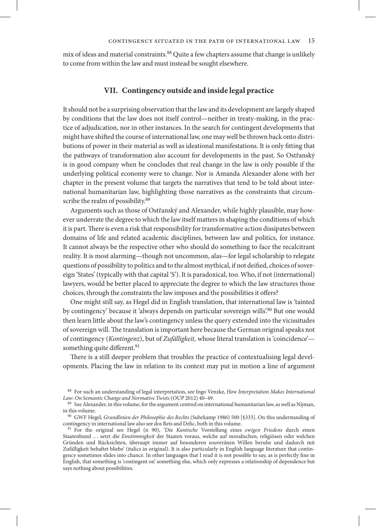mix of ideas and material constraints.<sup>88</sup> Quite a few chapters assume that change is unlikely to come from within the law and must instead be sought elsewhere.

#### **VII. Contingency outside and inside legal practice**

It should not be a surprising observation that the law and its development are largely shaped by conditions that the law does not itself control—neither in treaty-making, in the practice of adjudication, nor in other instances. In the search for contingent developments that might have shifted the course of international law, one may well be thrown back onto distributions of power in their material as well as ideational manifestations. It is only fitting that the pathways of transformation also account for developments in the past. So Ostřanský is in good company when he concludes that real change in the law is only possible if the underlying political economy were to change. Nor is Amanda Alexander alone with her chapter in the present volume that targets the narratives that tend to be told about international humanitarian law, highlighting those narratives as the constraints that circumscribe the realm of possibility.<sup>89</sup>

Arguments such as those of Ostřanský and Alexander, while highly plausible, may however underrate the degree to which the law itself matters in shaping the conditions of which it is part. There is even a risk that responsibility for transformative action dissipates between domains of life and related academic disciplines, between law and politics, for instance. It cannot always be the respective other who should do something to face the recalcitrant reality. It is most alarming—though not uncommon, alas—for legal scholarship to relegate questions of possibility to politics and to the almost mythical, if not deified, choices of sovereign 'States' (typically with that capital 'S'). It is paradoxical, too. Who, if not (international) lawyers, would be better placed to appreciate the degree to which the law structures those choices, through the constraints the law imposes and the possibilities it offers?

One might still say, as Hegel did in English translation, that international law is 'tainted by contingency' because it 'always depends on particular sovereign wills'.90 But one would then learn little about the law's contingency unless the query extended into the vicissitudes of sovereign will. The translation is important here because the German original speaks not of contingency (*Kontingenz*), but of *Zufälligkeit,* whose literal translation is 'coincidence' something quite different.<sup>91</sup>

There is a still deeper problem that troubles the practice of contextualising legal developments. Placing the law in relation to its context may put in motion a line of argument

<sup>88</sup> For such an understanding of legal interpretation, see Ingo Venzke, *How Interpretation Makes International Law: On Semantic Change and Normative Twists* (OUP 2012) 40–49.

<sup>&</sup>lt;sup>89</sup> See Alexander, in this volume, for the argument centred on international humanitarian law, as well as Nijman, in this volume.

<sup>90</sup> GWF Hegel, *Grundlinien der Philosophie des Rechts* (Suhrkamp 1986) 500 [§333]. On this understanding of contingency in international law also see dos Reis and Delic, both in this volume.

<sup>91</sup> For the original see Hegel (n 90), 'Die *Kantische* Vorstellung eines *ewigen Friedens* durch einen Staatenbund . . . setzt die *Einstimmigkeit* der Staaten voraus, welche auf moralischen, religiösen oder welchen Gründen und Rücksichten, überaupt immer auf besonderen souveränen Willen beruhe und dadurch mit Zufälligkeit behaftet bliebe' (italics in original). It is also particularly in English language literature that contingency sometimes slides into chance. In other languages that I read it is not possible to say, as is perfectly fine in English, that something is 'contingent on' something else, which only expresses a relationship of dependence but says nothing about possibilities.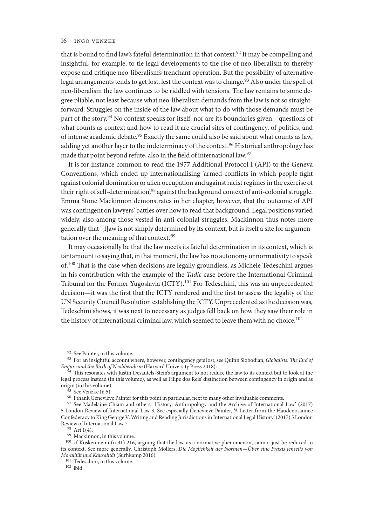that is bound to find law's fateful determination in that context.<sup>92</sup> It may be compelling and insightful, for example, to tie legal developments to the rise of neo-liberalism to thereby expose and critique neo-liberalism's trenchant operation. But the possibility of alternative legal arrangements tends to get lost, lest the context was to change.<sup>93</sup> Also under the spell of neo-liberalism the law continues to be riddled with tensions. The law remains to some degree pliable, not least because what neo-liberalism demands from the law is not so straightforward. Struggles on the inside of the law about what to do with those demands must be part of the story.94 No context speaks for itself, nor are its boundaries given—questions of what counts as context and how to read it are crucial sites of contingency, of politics, and of intense academic debate.95 Exactly the same could also be said about what counts as law, adding yet another layer to the indeterminacy of the context.<sup>96</sup> Historical anthropology has made that point beyond refute, also in the field of international law.<sup>97</sup>

It is for instance common to read the 1977 Additional Protocol I (API) to the Geneva Conventions, which ended up internationalising 'armed conflicts in which people fight against colonial domination or alien occupation and against racist regimes in the exercise of their right of self-determination',<sup>98</sup> against the background context of anti-colonial struggle. Emma Stone Mackinnon demonstrates in her chapter, however, that the outcome of API was contingent on lawyers' battles over how to read that background. Legal positions varied widely, also among those vested in anti-colonial struggles. Mackinnon thus notes more generally that '[l]aw is not simply determined by its context, but is itself a site for argumentation over the meaning of that context.'99

It may occasionally be that the law meets its fateful determination in its context, which is tantamount to saying that, in that moment, the law has no autonomy or normativity to speak of.<sup>100</sup> That is the case when decisions are legally groundless, as Michele Tedeschini argues in his contribution with the example of the *Tadic* case before the International Criminal Tribunal for the Former Yugoslavia (ICTY).101 For Tedeschini, this was an unprecedented decision—it was the first that the ICTY rendered and the first to assess the legality of the UN Security Council Resolution establishing the ICTY. Unprecedented as the decision was, Tedeschini shows, it was next to necessary as judges fell back on how they saw their role in the history of international criminal law, which seemed to leave them with no choice.<sup>102</sup>

<sup>92</sup> See Painter, in this volume.

<sup>93</sup> For an insightful account where, however, contingency gets lost, see Quinn Slobodian, *Globalists: The End of Empire and the Birth of Neoliberalism* (Harvard University Press 2018).

94 This resonates with Justin Desautels-Stein's argument to not reduce the law to its context but to look at the legal process instead (in this volume), as well as Filipe dos Reis' distinction between contingency in origin and as origin (in this volume).

See Venzke (n 5).

 $^{96}\,$  I thank Genevieve Painter for this point in particular, next to many other invaluable comments.

<sup>97</sup> See Madelaine Chiam and others, 'History, Anthropology and the Archive of International Law' (2017) 5 London Review of International Law 3. See especially Genevieve Painter, 'A Letter from the Haudenosaunee Confederacy to King George V: Writing and Reading Jurisdictions in International Legal History' (2017) 5 London Review of International Law 7.

<sup>98</sup> Art 1(4).

99 Mackinnon, in this volume.

<sup>100</sup> cf Koskenniemi (n 31) 216, arguing that the law, as a normative phenomenon, cannot just be reduced to its context. See more generally, Christoph Möllers, *Die Möglichkeit der Normen—Über eine Praxis jenseits von Moralität und Kausalität* (Surhkamp 2016).

<sup>101</sup> Tedeschini, in this volume.

 $102$  ibid.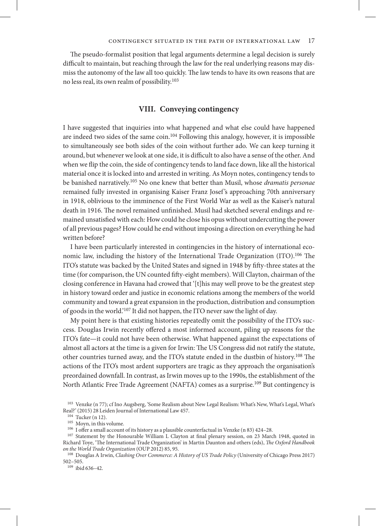The pseudo-formalist position that legal arguments determine a legal decision is surely difficult to maintain, but reaching through the law for the real underlying reasons may dismiss the autonomy of the law all too quickly. The law tends to have its own reasons that are no less real, its own realm of possibility.103

#### **VIII. Conveying contingency**

I have suggested that inquiries into what happened and what else could have happened are indeed two sides of the same coin.<sup>104</sup> Following this analogy, however, it is impossible to simultaneously see both sides of the coin without further ado. We can keep turning it around, but whenever we look at one side, it is difficult to also have a sense of the other. And when we flip the coin, the side of contingency tends to land face down, like all the historical material once it is locked into and arrested in writing. As Moyn notes, contingency tends to be banished narratively.105 No one knew that better than Musil, whose *dramatis personae* remained fully invested in organising Kaiser Franz Josef 's approaching 70th anniversary in 1918, oblivious to the imminence of the First World War as well as the Kaiser's natural death in 1916. The novel remained unfinished. Musil had sketched several endings and remained unsatisfied with each: How could he close his opus without undercutting the power of all previous pages? How could he end without imposing a direction on everything he had written before?

I have been particularly interested in contingencies in the history of international economic law, including the history of the International Trade Organization (ITO).<sup>106</sup> The ITO's statute was backed by the United States and signed in 1948 by fifty-three states at the time (for comparison, the UN counted fifty-eight members). Will Clayton, chairman of the closing conference in Havana had crowed that '[t]his may well prove to be the greatest step in history toward order and justice in economic relations among the members of the world community and toward a great expansion in the production, distribution and consumption of goods in the world.'107 It did not happen, the ITO never saw the light of day.

My point here is that existing histories repeatedly omit the possibility of the ITO's success. Douglas Irwin recently offered a most informed account, piling up reasons for the ITO's fate—it could not have been otherwise. What happened against the expectations of almost all actors at the time is a given for Irwin: The US Congress did not ratify the statute, other countries turned away, and the ITO's statute ended in the dustbin of history.108 The actions of the ITO's most ardent supporters are tragic as they approach the organisation's preordained downfall. In contrast, as Irwin moves up to the 1990s, the establishment of the North Atlantic Free Trade Agreement (NAFTA) comes as a surprise.<sup>109</sup> But contingency is

<sup>109</sup> ibid 636–42.

<sup>103</sup> Venzke (n 77); cf Ino Augsberg, 'Some Realism about New Legal Realism: What's New, What's Legal, What's Real?' (2015) 28 Leiden Journal of International Law 457.

<sup>104</sup> Tucker (n 12).

<sup>105</sup> Moyn, in this volume.

<sup>106</sup> I offer a small account of its history as a plausible counterfactual in Venzke (n 83) 424–28.

<sup>107</sup> Statement by the Honourable William L Clayton at final plenary session, on 23 March 1948, quoted in Richard Toye, 'The International Trade Organization' in Martin Daunton and others (eds), *The Oxford Handbook on the World Trade Organization* (OUP 2012) 85, 95.

<sup>108</sup> Douglas A Irwin, *Clashing Over Commerce: A History of US Trade Policy* (University of Chicago Press 2017) 502–505.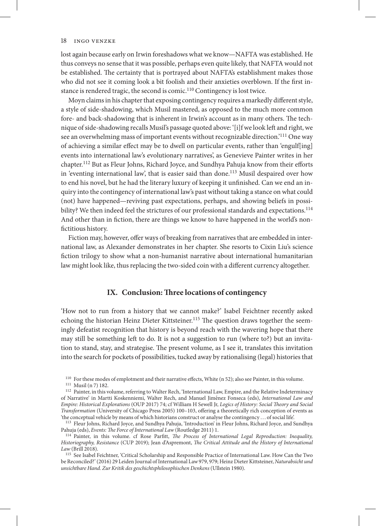lost again because early on Irwin foreshadows what we know—NAFTA was established. He thus conveys no sense that it was possible, perhaps even quite likely, that NAFTA would not be established. The certainty that is portrayed about NAFTA's establishment makes those who did not see it coming look a bit foolish and their anxieties overblown. If the first instance is rendered tragic, the second is comic.<sup>110</sup> Contingency is lost twice.

Moyn claims in his chapter that exposing contingency requires a markedly different style, a style of side-shadowing, which Musil mastered, as opposed to the much more common fore- and back-shadowing that is inherent in Irwin's account as in many others. The technique of side-shadowing recalls Musil's passage quoted above: '[i]f we look left and right, we see an overwhelming mass of important events without recognizable direction.'111 One way of achieving a similar effect may be to dwell on particular events, rather than 'engulf[ing] events into international law's evolutionary narratives', as Genevieve Painter writes in her chapter.112 But as Fleur Johns, Richard Joyce, and Sundhya Pahuja know from their efforts in 'eventing international law', that is easier said than done.113 Musil despaired over how to end his novel, but he had the literary luxury of keeping it unfinished. Can we end an inquiry into the contingency of international law's past without taking a stance on what could (not) have happened—reviving past expectations, perhaps, and showing beliefs in possibility? We then indeed feel the strictures of our professional standards and expectations.<sup>114</sup> And other than in fiction, there are things we know to have happened in the world's nonfictitious history.

Fiction may, however, offer ways of breaking from narratives that are embedded in international law, as Alexander demonstrates in her chapter. She resorts to Cixin Liu's science fiction trilogy to show what a non-humanist narrative about international humanitarian law might look like, thus replacing the two-sided coin with a different currency altogether.

#### **IX. Conclusion: Three locations of contingency**

'How not to run from a history that we cannot make?' Isabel Feichtner recently asked echoing the historian Heinz Dieter Kittsteiner.<sup>115</sup> The question draws together the seemingly defeatist recognition that history is beyond reach with the wavering hope that there may still be something left to do. It is not a suggestion to run (where to?) but an invitation to stand, stay, and strategise. The present volume, as I see it, translates this invitation into the search for pockets of possibilities, tucked away by rationalising (legal) histories that

<sup>110</sup> For these modes of emplotment and their narrative effects, White (n 52); also see Painter, in this volume.

<sup>113</sup> Fleur Johns, Richard Joyce, and Sundhya Pahuja, 'Introduction' in Fleur Johns, Richard Joyce, and Sundhya Pahuja (eds), *Events: The Force of International Law* (Routledge 2011) 1.

<sup>111</sup> Musil (n 7) 182.

<sup>&</sup>lt;sup>112</sup> Painter, in this volume, referring to Walter Rech, 'International Law, Empire, and the Relative Indeterminacy of Narrative' in Martti Koskenniemi, Walter Rech, and Manuel Jiménez Fonseca (eds), *International Law and Empire: Historical Explorations* (OUP 2017) 74; cf William H Sewell Jr, *Logics of History: Social Theory and Social Transformation* (University of Chicago Press 2005) 100–103, offering a theoretically rich conception of events as 'the conceptual vehicle by means of which historians construct or analyse the contingency . . . of social life'.

<sup>114</sup> Painter, in this volume. cf Rose Parfitt, *The Process of International Legal Reproduction: Inequality, Historiography, Resistance* (CUP 2019); Jean d'Aspremont, *The Critical Attitude and the History of International Law* (Brill 2018).

<sup>115</sup> See Isabel Feichtner, 'Critical Scholarship and Responsible Practice of International Law. How Can the Two be Reconciled?' (2016) 29 Leiden Journal of International Law 979, 979; Heinz Dieter Kittsteiner, *Naturabsicht und unsichtbare Hand. Zur Kritik des geschichtsphilosophischen Denkens* (Ullstein 1980).